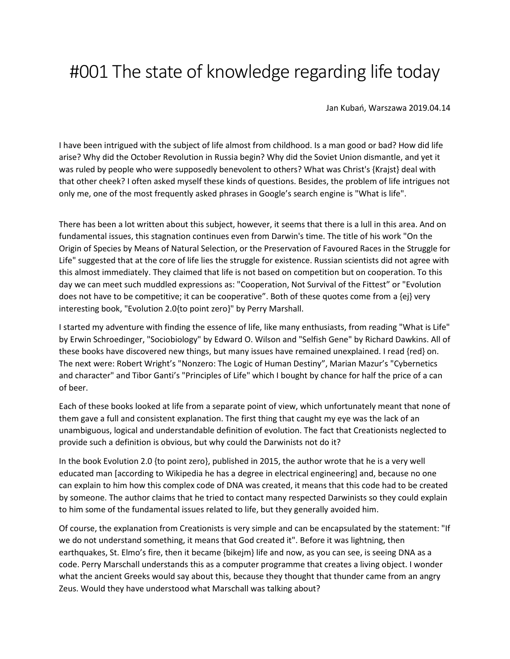## #001 The state of knowledge regarding life today

Jan Kubań, Warszawa 2019.04.14

I have been intrigued with the subject of life almost from childhood. Is a man good or bad? How did life arise? Why did the October Revolution in Russia begin? Why did the Soviet Union dismantle, and yet it was ruled by people who were supposedly benevolent to others? What was Christ's {Krajst} deal with that other cheek? I often asked myself these kinds of questions. Besides, the problem of life intrigues not only me, one of the most frequently asked phrases in Google's search engine is "What is life".

There has been a lot written about this subject, however, it seems that there is a lull in this area. And on fundamental issues, this stagnation continues even from Darwin's time. The title of his work "On the Origin of Species by Means of Natural Selection, or the Preservation of Favoured Races in the Struggle for Life" suggested that at the core of life lies the struggle for existence. Russian scientists did not agree with this almost immediately. They claimed that life is not based on competition but on cooperation. To this day we can meet such muddled expressions as: "Cooperation, Not Survival of the Fittest" or "Evolution does not have to be competitive; it can be cooperative". Both of these quotes come from a {ej} very interesting book, "Evolution 2.0{to point zero}" by Perry Marshall.

I started my adventure with finding the essence of life, like many enthusiasts, from reading "What is Life" by Erwin Schroedinger, "Sociobiology" by Edward O. Wilson and "Selfish Gene" by Richard Dawkins. All of these books have discovered new things, but many issues have remained unexplained. I read {red} on. The next were: Robert Wright's "Nonzero: The Logic of Human Destiny", Marian Mazur's "Cybernetics and character" and Tibor Ganti's "Principles of Life" which I bought by chance for half the price of a can of beer.

Each of these books looked at life from a separate point of view, which unfortunately meant that none of them gave a full and consistent explanation. The first thing that caught my eye was the lack of an unambiguous, logical and understandable definition of evolution. The fact that Creationists neglected to provide such a definition is obvious, but why could the Darwinists not do it?

In the book Evolution 2.0 {to point zero}, published in 2015, the author wrote that he is a very well educated man [according to Wikipedia he has a degree in electrical engineering] and, because no one can explain to him how this complex code of DNA was created, it means that this code had to be created by someone. The author claims that he tried to contact many respected Darwinists so they could explain to him some of the fundamental issues related to life, but they generally avoided him.

Of course, the explanation from Creationists is very simple and can be encapsulated by the statement: "If we do not understand something, it means that God created it". Before it was lightning, then earthquakes, St. Elmo's fire, then it became {bikejm} life and now, as you can see, is seeing DNA as a code. Perry Marschall understands this as a computer programme that creates a living object. I wonder what the ancient Greeks would say about this, because they thought that thunder came from an angry Zeus. Would they have understood what Marschall was talking about?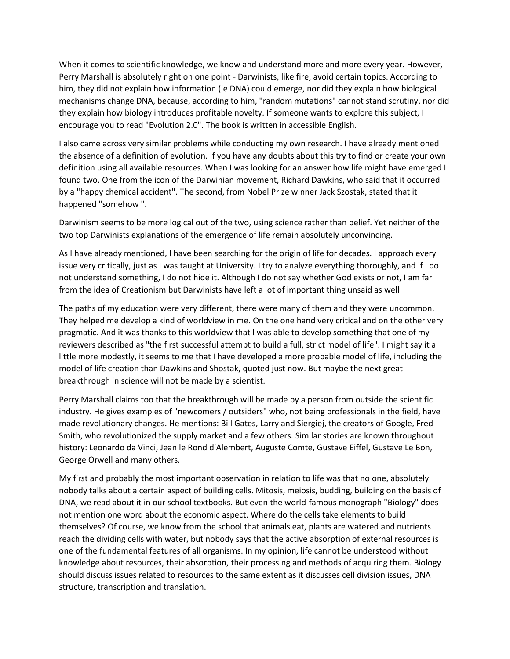When it comes to scientific knowledge, we know and understand more and more every year. However, Perry Marshall is absolutely right on one point - Darwinists, like fire, avoid certain topics. According to him, they did not explain how information (ie DNA) could emerge, nor did they explain how biological mechanisms change DNA, because, according to him, "random mutations" cannot stand scrutiny, nor did they explain how biology introduces profitable novelty. If someone wants to explore this subject, I encourage you to read "Evolution 2.0". The book is written in accessible English.

I also came across very similar problems while conducting my own research. I have already mentioned the absence of a definition of evolution. If you have any doubts about this try to find or create your own definition using all available resources. When I was looking for an answer how life might have emerged I found two. One from the icon of the Darwinian movement, Richard Dawkins, who said that it occurred by a "happy chemical accident". The second, from Nobel Prize winner Jack Szostak, stated that it happened "somehow ".

Darwinism seems to be more logical out of the two, using science rather than belief. Yet neither of the two top Darwinists explanations of the emergence of life remain absolutely unconvincing.

As I have already mentioned, I have been searching for the origin of life for decades. I approach every issue very critically, just as I was taught at University. I try to analyze everything thoroughly, and if I do not understand something, I do not hide it. Although I do not say whether God exists or not, I am far from the idea of Creationism but Darwinists have left a lot of important thing unsaid as well

The paths of my education were very different, there were many of them and they were uncommon. They helped me develop a kind of worldview in me. On the one hand very critical and on the other very pragmatic. And it was thanks to this worldview that I was able to develop something that one of my reviewers described as "the first successful attempt to build a full, strict model of life". I might say it a little more modestly, it seems to me that I have developed a more probable model of life, including the model of life creation than Dawkins and Shostak, quoted just now. But maybe the next great breakthrough in science will not be made by a scientist.

Perry Marshall claims too that the breakthrough will be made by a person from outside the scientific industry. He gives examples of "newcomers / outsiders" who, not being professionals in the field, have made revolutionary changes. He mentions: Bill Gates, Larry and Siergiej, the creators of Google, Fred Smith, who revolutionized the supply market and a few others. Similar stories are known throughout history: Leonardo da Vinci, Jean le Rond d'Alembert, Auguste Comte, Gustave Eiffel, Gustave Le Bon, George Orwell and many others.

My first and probably the most important observation in relation to life was that no one, absolutely nobody talks about a certain aspect of building cells. Mitosis, meiosis, budding, building on the basis of DNA, we read about it in our school textbooks. But even the world-famous monograph "Biology" does not mention one word about the economic aspect. Where do the cells take elements to build themselves? Of course, we know from the school that animals eat, plants are watered and nutrients reach the dividing cells with water, but nobody says that the active absorption of external resources is one of the fundamental features of all organisms. In my opinion, life cannot be understood without knowledge about resources, their absorption, their processing and methods of acquiring them. Biology should discuss issues related to resources to the same extent as it discusses cell division issues, DNA structure, transcription and translation.